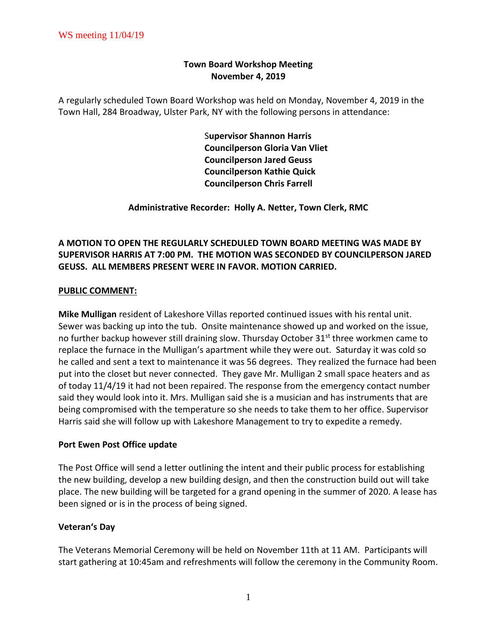## **Town Board Workshop Meeting November 4, 2019**

A regularly scheduled Town Board Workshop was held on Monday, November 4, 2019 in the Town Hall, 284 Broadway, Ulster Park, NY with the following persons in attendance:

> S**upervisor Shannon Harris Councilperson Gloria Van Vliet Councilperson Jared Geuss Councilperson Kathie Quick Councilperson Chris Farrell**

**Administrative Recorder: Holly A. Netter, Town Clerk, RMC**

# **A MOTION TO OPEN THE REGULARLY SCHEDULED TOWN BOARD MEETING WAS MADE BY SUPERVISOR HARRIS AT 7:00 PM. THE MOTION WAS SECONDED BY COUNCILPERSON JARED GEUSS. ALL MEMBERS PRESENT WERE IN FAVOR. MOTION CARRIED.**

## **PUBLIC COMMENT:**

**Mike Mulligan** resident of Lakeshore Villas reported continued issues with his rental unit. Sewer was backing up into the tub. Onsite maintenance showed up and worked on the issue, no further backup however still draining slow. Thursday October  $31^{st}$  three workmen came to replace the furnace in the Mulligan's apartment while they were out. Saturday it was cold so he called and sent a text to maintenance it was 56 degrees. They realized the furnace had been put into the closet but never connected. They gave Mr. Mulligan 2 small space heaters and as of today 11/4/19 it had not been repaired. The response from the emergency contact number said they would look into it. Mrs. Mulligan said she is a musician and has instruments that are being compromised with the temperature so she needs to take them to her office. Supervisor Harris said she will follow up with Lakeshore Management to try to expedite a remedy.

### **Port Ewen Post Office update**

The Post Office will send a letter outlining the intent and their public process for establishing the new building, develop a new building design, and then the construction build out will take place. The new building will be targeted for a grand opening in the summer of 2020. A lease has been signed or is in the process of being signed.

### **Veteran's Day**

The Veterans Memorial Ceremony will be held on November 11th at 11 AM. Participants will start gathering at 10:45am and refreshments will follow the ceremony in the Community Room.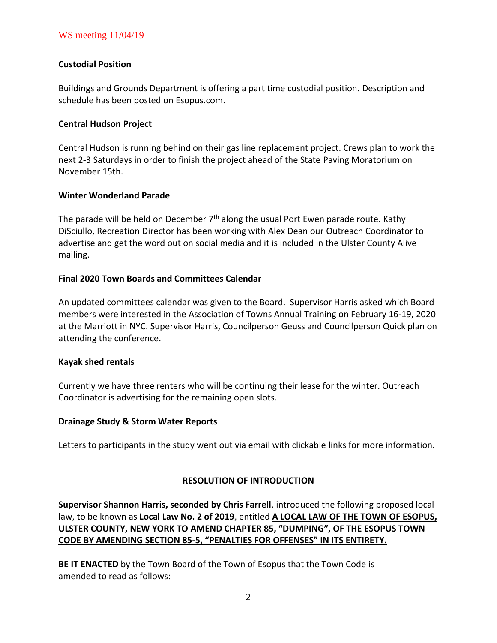## WS meeting 11/04/19

### **Custodial Position**

Buildings and Grounds Department is offering a part time custodial position. Description and schedule has been posted on Esopus.com.

#### **Central Hudson Project**

Central Hudson is running behind on their gas line replacement project. Crews plan to work the next 2-3 Saturdays in order to finish the project ahead of the State Paving Moratorium on November 15th.

#### **Winter Wonderland Parade**

The parade will be held on December  $7<sup>th</sup>$  along the usual Port Ewen parade route. Kathy DiSciullo, Recreation Director has been working with Alex Dean our Outreach Coordinator to advertise and get the word out on social media and it is included in the Ulster County Alive mailing.

### **Final 2020 Town Boards and Committees Calendar**

An updated committees calendar was given to the Board. Supervisor Harris asked which Board members were interested in the Association of Towns Annual Training on February 16-19, 2020 at the Marriott in NYC. Supervisor Harris, Councilperson Geuss and Councilperson Quick plan on attending the conference.

#### **Kayak shed rentals**

Currently we have three renters who will be continuing their lease for the winter. Outreach Coordinator is advertising for the remaining open slots.

#### **Drainage Study & Storm Water Reports**

Letters to participants in the study went out via email with clickable links for more information.

#### **RESOLUTION OF INTRODUCTION**

**Supervisor Shannon Harris, seconded by Chris Farrell**, introduced the following proposed local law, to be known as **Local Law No. 2 of 2019**, entitled **A LOCAL LAW OF THE TOWN OF ESOPUS, ULSTER COUNTY, NEW YORK TO AMEND CHAPTER 85, "DUMPING", OF THE ESOPUS TOWN CODE BY AMENDING SECTION 85-5, "PENALTIES FOR OFFENSES" IN ITS ENTIRETY.**

**BE IT ENACTED** by the Town Board of the Town of Esopus that the Town Code is amended to read as follows: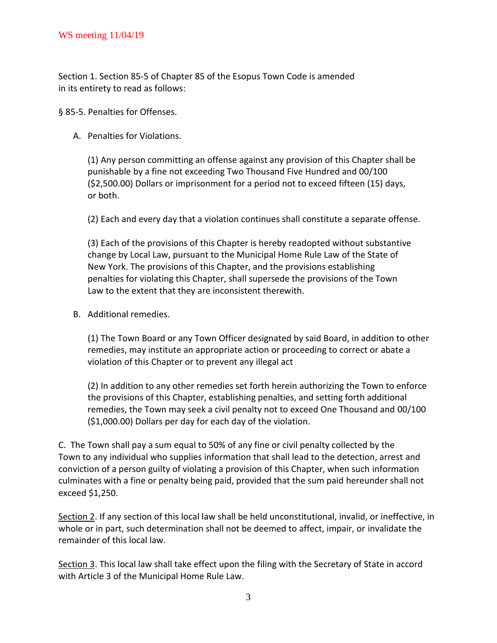Section 1. Section 85-5 of Chapter 85 of the Esopus Town Code is amended in its entirety to read as follows:

§ 85-5. Penalties for Offenses.

A. Penalties for Violations.

(1) Any person committing an offense against any provision of this Chapter shall be punishable by a fine not exceeding Two Thousand Five Hundred and 00/100 (\$2,500.00) Dollars or imprisonment for a period not to exceed fifteen (15) days, or both.

(2) Each and every day that a violation continues shall constitute a separate offense.

(3) Each of the provisions of this Chapter is hereby readopted without substantive change by Local Law, pursuant to the Municipal Home Rule Law of the State of New York. The provisions of this Chapter, and the provisions establishing penalties for violating this Chapter, shall supersede the provisions of the Town Law to the extent that they are inconsistent therewith.

B. Additional remedies.

(1) The Town Board or any Town Officer designated by said Board, in addition to other remedies, may institute an appropriate action or proceeding to correct or abate a violation of this Chapter or to prevent any illegal act

(2) In addition to any other remedies set forth herein authorizing the Town to enforce the provisions of this Chapter, establishing penalties, and setting forth additional remedies, the Town may seek a civil penalty not to exceed One Thousand and 00/100 (\$1,000.00) Dollars per day for each day of the violation.

C. The Town shall pay a sum equal to 50% of any fine or civil penalty collected by the Town to any individual who supplies information that shall lead to the detection, arrest and conviction of a person guilty of violating a provision of this Chapter, when such information culminates with a fine or penalty being paid, provided that the sum paid hereunder shall not exceed \$1,250.

Section 2. If any section of this local law shall be held unconstitutional, invalid, or ineffective, in whole or in part, such determination shall not be deemed to affect, impair, or invalidate the remainder of this local law.

Section 3. This local law shall take effect upon the filing with the Secretary of State in accord with Article 3 of the Municipal Home Rule Law.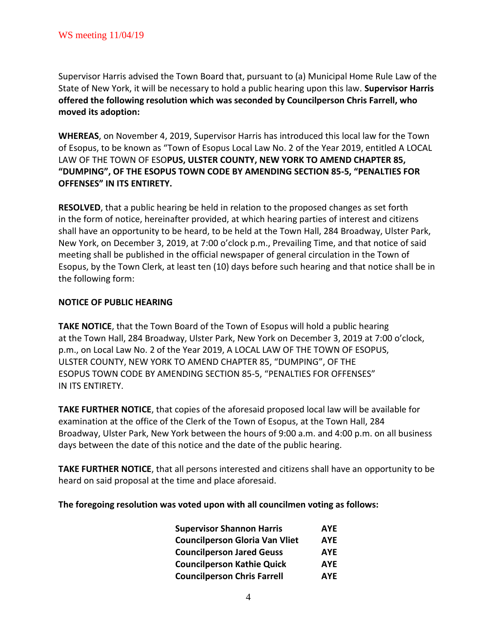Supervisor Harris advised the Town Board that, pursuant to (a) Municipal Home Rule Law of the State of New York, it will be necessary to hold a public hearing upon this law. **Supervisor Harris offered the following resolution which was seconded by Councilperson Chris Farrell, who moved its adoption:**

**WHEREAS**, on November 4, 2019, Supervisor Harris has introduced this local law for the Town of Esopus, to be known as "Town of Esopus Local Law No. 2 of the Year 2019, entitled A LOCAL LAW OF THE TOWN OF ESO**PUS, ULSTER COUNTY, NEW YORK TO AMEND CHAPTER 85, "DUMPING", OF THE ESOPUS TOWN CODE BY AMENDING SECTION 85-5, "PENALTIES FOR OFFENSES" IN ITS ENTIRETY.**

**RESOLVED**, that a public hearing be held in relation to the proposed changes as set forth in the form of notice, hereinafter provided, at which hearing parties of interest and citizens shall have an opportunity to be heard, to be held at the Town Hall, 284 Broadway, Ulster Park, New York, on December 3, 2019, at 7:00 o'clock p.m., Prevailing Time, and that notice of said meeting shall be published in the official newspaper of general circulation in the Town of Esopus, by the Town Clerk, at least ten (10) days before such hearing and that notice shall be in the following form:

## **NOTICE OF PUBLIC HEARING**

**TAKE NOTICE**, that the Town Board of the Town of Esopus will hold a public hearing at the Town Hall, 284 Broadway, Ulster Park, New York on December 3, 2019 at 7:00 o'clock, p.m., on Local Law No. 2 of the Year 2019, A LOCAL LAW OF THE TOWN OF ESOPUS, ULSTER COUNTY, NEW YORK TO AMEND CHAPTER 85, "DUMPING", OF THE ESOPUS TOWN CODE BY AMENDING SECTION 85-5, "PENALTIES FOR OFFENSES" IN ITS ENTIRETY.

**TAKE FURTHER NOTICE**, that copies of the aforesaid proposed local law will be available for examination at the office of the Clerk of the Town of Esopus, at the Town Hall, 284 Broadway, Ulster Park, New York between the hours of 9:00 a.m. and 4:00 p.m. on all business days between the date of this notice and the date of the public hearing.

**TAKE FURTHER NOTICE**, that all persons interested and citizens shall have an opportunity to be heard on said proposal at the time and place aforesaid.

**The foregoing resolution was voted upon with all councilmen voting as follows:**

| <b>Supervisor Shannon Harris</b>      | <b>AYE</b> |  |
|---------------------------------------|------------|--|
| <b>Councilperson Gloria Van Vliet</b> | <b>AYE</b> |  |
| <b>Councilperson Jared Geuss</b>      | <b>AYE</b> |  |
| <b>Councilperson Kathie Quick</b>     | <b>AYE</b> |  |
| <b>Councilperson Chris Farrell</b>    | <b>AYE</b> |  |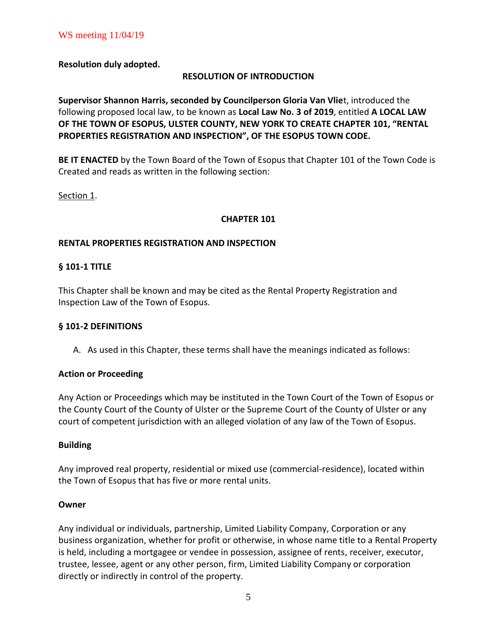**Resolution duly adopted.**

## **RESOLUTION OF INTRODUCTION**

**Supervisor Shannon Harris, seconded by Councilperson Gloria Van Vlie**t, introduced the following proposed local law, to be known as **Local Law No. 3 of 2019**, entitled **A LOCAL LAW OF THE TOWN OF ESOPUS, ULSTER COUNTY, NEW YORK TO CREATE CHAPTER 101, "RENTAL PROPERTIES REGISTRATION AND INSPECTION", OF THE ESOPUS TOWN CODE.**

**BE IT ENACTED** by the Town Board of the Town of Esopus that Chapter 101 of the Town Code is Created and reads as written in the following section:

Section 1.

## **CHAPTER 101**

## **RENTAL PROPERTIES REGISTRATION AND INSPECTION**

## **§ 101-1 TITLE**

This Chapter shall be known and may be cited as the Rental Property Registration and Inspection Law of the Town of Esopus.

### **§ 101-2 DEFINITIONS**

A. As used in this Chapter, these terms shall have the meanings indicated as follows:

### **Action or Proceeding**

Any Action or Proceedings which may be instituted in the Town Court of the Town of Esopus or the County Court of the County of Ulster or the Supreme Court of the County of Ulster or any court of competent jurisdiction with an alleged violation of any law of the Town of Esopus.

### **Building**

Any improved real property, residential or mixed use (commercial-residence), located within the Town of Esopus that has five or more rental units.

### **Owner**

Any individual or individuals, partnership, Limited Liability Company, Corporation or any business organization, whether for profit or otherwise, in whose name title to a Rental Property is held, including a mortgagee or vendee in possession, assignee of rents, receiver, executor, trustee, lessee, agent or any other person, firm, Limited Liability Company or corporation directly or indirectly in control of the property.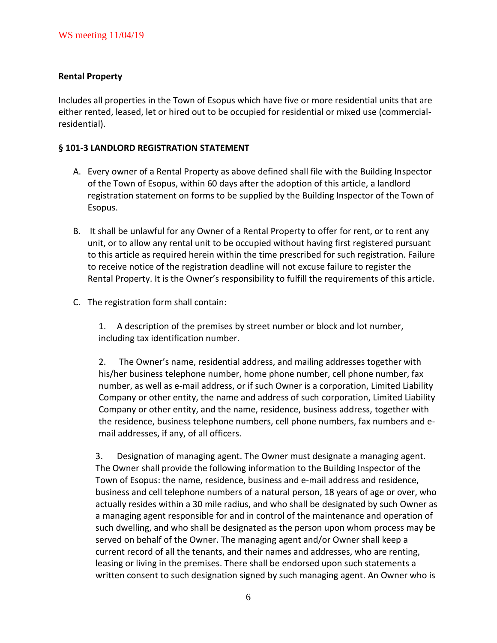## **Rental Property**

Includes all properties in the Town of Esopus which have five or more residential units that are either rented, leased, let or hired out to be occupied for residential or mixed use (commercialresidential).

## **§ 101-3 LANDLORD REGISTRATION STATEMENT**

- A. Every owner of a Rental Property as above defined shall file with the Building Inspector of the Town of Esopus, within 60 days after the adoption of this article, a landlord registration statement on forms to be supplied by the Building Inspector of the Town of Esopus.
- B. It shall be unlawful for any Owner of a Rental Property to offer for rent, or to rent any unit, or to allow any rental unit to be occupied without having first registered pursuant to this article as required herein within the time prescribed for such registration. Failure to receive notice of the registration deadline will not excuse failure to register the Rental Property. It is the Owner's responsibility to fulfill the requirements of this article.
- C. The registration form shall contain:

1. A description of the premises by street number or block and lot number, including tax identification number.

2. The Owner's name, residential address, and mailing addresses together with his/her business telephone number, home phone number, cell phone number, fax number, as well as e-mail address, or if such Owner is a corporation, Limited Liability Company or other entity, the name and address of such corporation, Limited Liability Company or other entity, and the name, residence, business address, together with the residence, business telephone numbers, cell phone numbers, fax numbers and email addresses, if any, of all officers.

3. Designation of managing agent. The Owner must designate a managing agent. The Owner shall provide the following information to the Building Inspector of the Town of Esopus: the name, residence, business and e-mail address and residence, business and cell telephone numbers of a natural person, 18 years of age or over, who actually resides within a 30 mile radius, and who shall be designated by such Owner as a managing agent responsible for and in control of the maintenance and operation of such dwelling, and who shall be designated as the person upon whom process may be served on behalf of the Owner. The managing agent and/or Owner shall keep a current record of all the tenants, and their names and addresses, who are renting, leasing or living in the premises. There shall be endorsed upon such statements a written consent to such designation signed by such managing agent. An Owner who is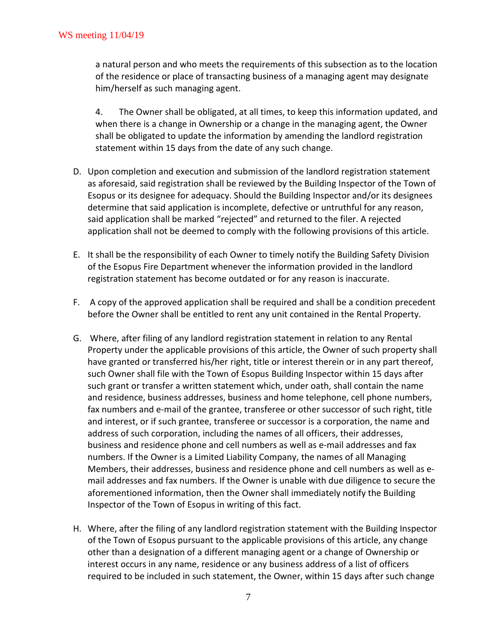a natural person and who meets the requirements of this subsection as to the location of the residence or place of transacting business of a managing agent may designate him/herself as such managing agent.

4. The Owner shall be obligated, at all times, to keep this information updated, and when there is a change in Ownership or a change in the managing agent, the Owner shall be obligated to update the information by amending the landlord registration statement within 15 days from the date of any such change.

- D. Upon completion and execution and submission of the landlord registration statement as aforesaid, said registration shall be reviewed by the Building Inspector of the Town of Esopus or its designee for adequacy. Should the Building Inspector and/or its designees determine that said application is incomplete, defective or untruthful for any reason, said application shall be marked "rejected" and returned to the filer. A rejected application shall not be deemed to comply with the following provisions of this article.
- E. It shall be the responsibility of each Owner to timely notify the Building Safety Division of the Esopus Fire Department whenever the information provided in the landlord registration statement has become outdated or for any reason is inaccurate.
- F. A copy of the approved application shall be required and shall be a condition precedent before the Owner shall be entitled to rent any unit contained in the Rental Property.
- G. Where, after filing of any landlord registration statement in relation to any Rental Property under the applicable provisions of this article, the Owner of such property shall have granted or transferred his/her right, title or interest therein or in any part thereof, such Owner shall file with the Town of Esopus Building Inspector within 15 days after such grant or transfer a written statement which, under oath, shall contain the name and residence, business addresses, business and home telephone, cell phone numbers, fax numbers and e-mail of the grantee, transferee or other successor of such right, title and interest, or if such grantee, transferee or successor is a corporation, the name and address of such corporation, including the names of all officers, their addresses, business and residence phone and cell numbers as well as e-mail addresses and fax numbers. If the Owner is a Limited Liability Company, the names of all Managing Members, their addresses, business and residence phone and cell numbers as well as email addresses and fax numbers. If the Owner is unable with due diligence to secure the aforementioned information, then the Owner shall immediately notify the Building Inspector of the Town of Esopus in writing of this fact.
- H. Where, after the filing of any landlord registration statement with the Building Inspector of the Town of Esopus pursuant to the applicable provisions of this article, any change other than a designation of a different managing agent or a change of Ownership or interest occurs in any name, residence or any business address of a list of officers required to be included in such statement, the Owner, within 15 days after such change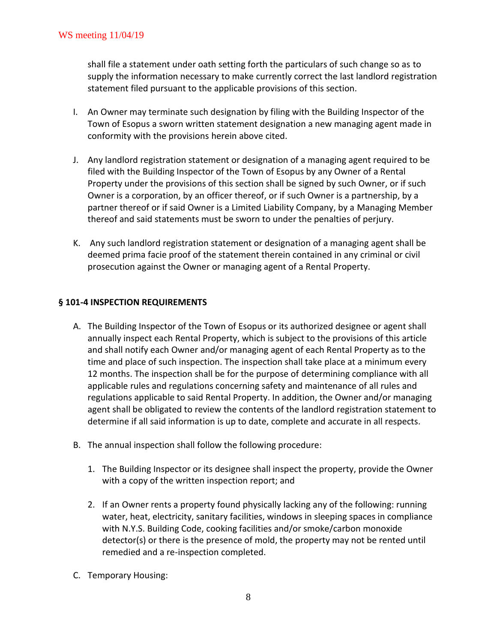shall file a statement under oath setting forth the particulars of such change so as to supply the information necessary to make currently correct the last landlord registration statement filed pursuant to the applicable provisions of this section.

- I. An Owner may terminate such designation by filing with the Building Inspector of the Town of Esopus a sworn written statement designation a new managing agent made in conformity with the provisions herein above cited.
- J. Any landlord registration statement or designation of a managing agent required to be filed with the Building Inspector of the Town of Esopus by any Owner of a Rental Property under the provisions of this section shall be signed by such Owner, or if such Owner is a corporation, by an officer thereof, or if such Owner is a partnership, by a partner thereof or if said Owner is a Limited Liability Company, by a Managing Member thereof and said statements must be sworn to under the penalties of perjury.
- K. Any such landlord registration statement or designation of a managing agent shall be deemed prima facie proof of the statement therein contained in any criminal or civil prosecution against the Owner or managing agent of a Rental Property.

## **§ 101-4 INSPECTION REQUIREMENTS**

- A. The Building Inspector of the Town of Esopus or its authorized designee or agent shall annually inspect each Rental Property, which is subject to the provisions of this article and shall notify each Owner and/or managing agent of each Rental Property as to the time and place of such inspection. The inspection shall take place at a minimum every 12 months. The inspection shall be for the purpose of determining compliance with all applicable rules and regulations concerning safety and maintenance of all rules and regulations applicable to said Rental Property. In addition, the Owner and/or managing agent shall be obligated to review the contents of the landlord registration statement to determine if all said information is up to date, complete and accurate in all respects.
- B. The annual inspection shall follow the following procedure:
	- 1. The Building Inspector or its designee shall inspect the property, provide the Owner with a copy of the written inspection report; and
	- 2. If an Owner rents a property found physically lacking any of the following: running water, heat, electricity, sanitary facilities, windows in sleeping spaces in compliance with N.Y.S. Building Code, cooking facilities and/or smoke/carbon monoxide detector(s) or there is the presence of mold, the property may not be rented until remedied and a re-inspection completed.
- C. Temporary Housing: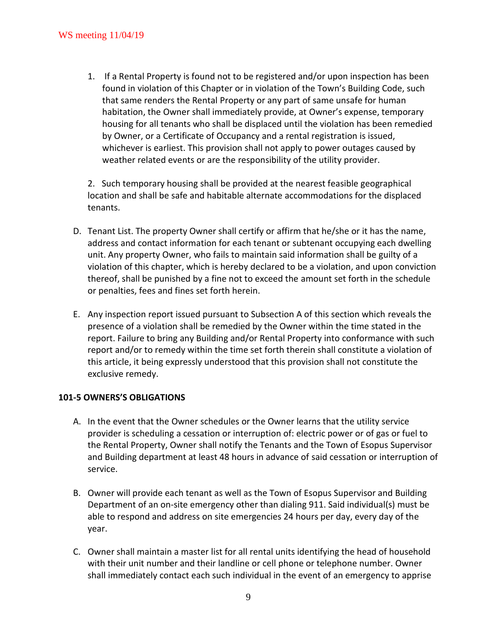1. If a Rental Property is found not to be registered and/or upon inspection has been found in violation of this Chapter or in violation of the Town's Building Code, such that same renders the Rental Property or any part of same unsafe for human habitation, the Owner shall immediately provide, at Owner's expense, temporary housing for all tenants who shall be displaced until the violation has been remedied by Owner, or a Certificate of Occupancy and a rental registration is issued, whichever is earliest. This provision shall not apply to power outages caused by weather related events or are the responsibility of the utility provider.

2. Such temporary housing shall be provided at the nearest feasible geographical location and shall be safe and habitable alternate accommodations for the displaced tenants.

- D. Tenant List. The property Owner shall certify or affirm that he/she or it has the name, address and contact information for each tenant or subtenant occupying each dwelling unit. Any property Owner, who fails to maintain said information shall be guilty of a violation of this chapter, which is hereby declared to be a violation, and upon conviction thereof, shall be punished by a fine not to exceed the amount set forth in the schedule or penalties, fees and fines set forth herein.
- E. Any inspection report issued pursuant to Subsection A of this section which reveals the presence of a violation shall be remedied by the Owner within the time stated in the report. Failure to bring any Building and/or Rental Property into conformance with such report and/or to remedy within the time set forth therein shall constitute a violation of this article, it being expressly understood that this provision shall not constitute the exclusive remedy.

## **101-5 OWNERS'S OBLIGATIONS**

- A. In the event that the Owner schedules or the Owner learns that the utility service provider is scheduling a cessation or interruption of: electric power or of gas or fuel to the Rental Property, Owner shall notify the Tenants and the Town of Esopus Supervisor and Building department at least 48 hours in advance of said cessation or interruption of service.
- B. Owner will provide each tenant as well as the Town of Esopus Supervisor and Building Department of an on-site emergency other than dialing 911. Said individual(s) must be able to respond and address on site emergencies 24 hours per day, every day of the year.
- C. Owner shall maintain a master list for all rental units identifying the head of household with their unit number and their landline or cell phone or telephone number. Owner shall immediately contact each such individual in the event of an emergency to apprise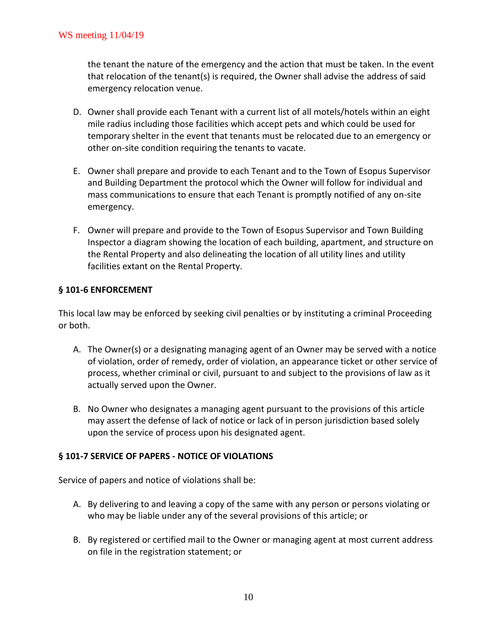the tenant the nature of the emergency and the action that must be taken. In the event that relocation of the tenant(s) is required, the Owner shall advise the address of said emergency relocation venue.

- D. Owner shall provide each Tenant with a current list of all motels/hotels within an eight mile radius including those facilities which accept pets and which could be used for temporary shelter in the event that tenants must be relocated due to an emergency or other on-site condition requiring the tenants to vacate.
- E. Owner shall prepare and provide to each Tenant and to the Town of Esopus Supervisor and Building Department the protocol which the Owner will follow for individual and mass communications to ensure that each Tenant is promptly notified of any on-site emergency.
- F. Owner will prepare and provide to the Town of Esopus Supervisor and Town Building Inspector a diagram showing the location of each building, apartment, and structure on the Rental Property and also delineating the location of all utility lines and utility facilities extant on the Rental Property.

## **§ 101-6 ENFORCEMENT**

This local law may be enforced by seeking civil penalties or by instituting a criminal Proceeding or both.

- A. The Owner(s) or a designating managing agent of an Owner may be served with a notice of violation, order of remedy, order of violation, an appearance ticket or other service of process, whether criminal or civil, pursuant to and subject to the provisions of law as it actually served upon the Owner.
- B. No Owner who designates a managing agent pursuant to the provisions of this article may assert the defense of lack of notice or lack of in person jurisdiction based solely upon the service of process upon his designated agent.

### **§ 101-7 SERVICE OF PAPERS - NOTICE OF VIOLATIONS**

Service of papers and notice of violations shall be:

- A. By delivering to and leaving a copy of the same with any person or persons violating or who may be liable under any of the several provisions of this article; or
- B. By registered or certified mail to the Owner or managing agent at most current address on file in the registration statement; or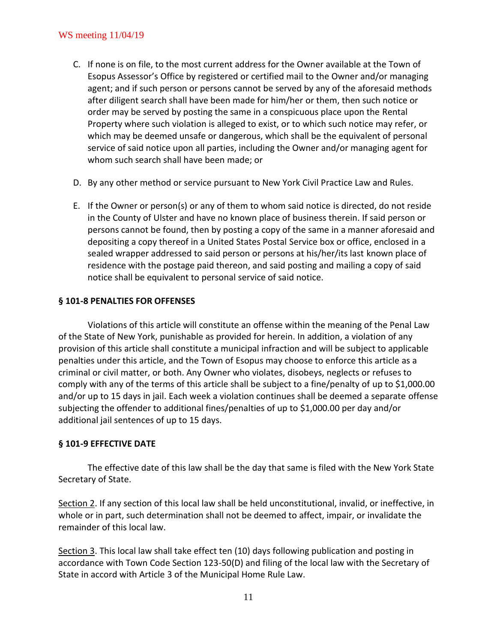## WS meeting 11/04/19

- C. If none is on file, to the most current address for the Owner available at the Town of Esopus Assessor's Office by registered or certified mail to the Owner and/or managing agent; and if such person or persons cannot be served by any of the aforesaid methods after diligent search shall have been made for him/her or them, then such notice or order may be served by posting the same in a conspicuous place upon the Rental Property where such violation is alleged to exist, or to which such notice may refer, or which may be deemed unsafe or dangerous, which shall be the equivalent of personal service of said notice upon all parties, including the Owner and/or managing agent for whom such search shall have been made; or
- D. By any other method or service pursuant to New York Civil Practice Law and Rules.
- E. If the Owner or person(s) or any of them to whom said notice is directed, do not reside in the County of Ulster and have no known place of business therein. If said person or persons cannot be found, then by posting a copy of the same in a manner aforesaid and depositing a copy thereof in a United States Postal Service box or office, enclosed in a sealed wrapper addressed to said person or persons at his/her/its last known place of residence with the postage paid thereon, and said posting and mailing a copy of said notice shall be equivalent to personal service of said notice.

## **§ 101-8 PENALTIES FOR OFFENSES**

Violations of this article will constitute an offense within the meaning of the Penal Law of the State of New York, punishable as provided for herein. In addition, a violation of any provision of this article shall constitute a municipal infraction and will be subject to applicable penalties under this article, and the Town of Esopus may choose to enforce this article as a criminal or civil matter, or both. Any Owner who violates, disobeys, neglects or refuses to comply with any of the terms of this article shall be subject to a fine/penalty of up to \$1,000.00 and/or up to 15 days in jail. Each week a violation continues shall be deemed a separate offense subjecting the offender to additional fines/penalties of up to \$1,000.00 per day and/or additional jail sentences of up to 15 days.

### **§ 101-9 EFFECTIVE DATE**

The effective date of this law shall be the day that same is filed with the New York State Secretary of State.

Section 2. If any section of this local law shall be held unconstitutional, invalid, or ineffective, in whole or in part, such determination shall not be deemed to affect, impair, or invalidate the remainder of this local law.

Section 3. This local law shall take effect ten (10) days following publication and posting in accordance with Town Code Section 123-50(D) and filing of the local law with the Secretary of State in accord with Article 3 of the Municipal Home Rule Law.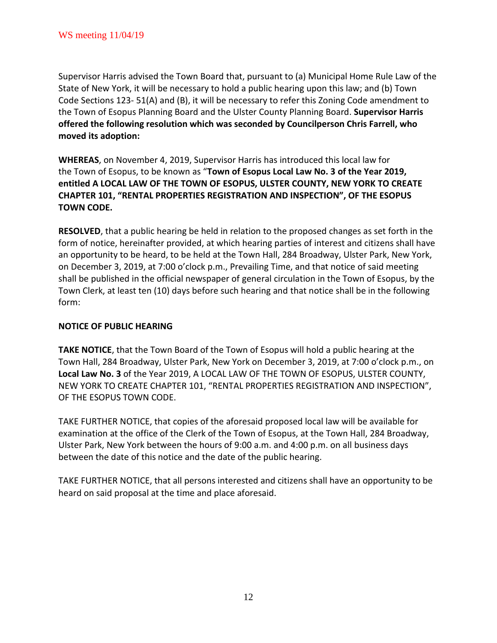Supervisor Harris advised the Town Board that, pursuant to (a) Municipal Home Rule Law of the State of New York, it will be necessary to hold a public hearing upon this law; and (b) Town Code Sections 123- 51(A) and (B), it will be necessary to refer this Zoning Code amendment to the Town of Esopus Planning Board and the Ulster County Planning Board. **Supervisor Harris offered the following resolution which was seconded by Councilperson Chris Farrell, who moved its adoption:**

**WHEREAS**, on November 4, 2019, Supervisor Harris has introduced this local law for the Town of Esopus, to be known as "**Town of Esopus Local Law No. 3 of the Year 2019, entitled A LOCAL LAW OF THE TOWN OF ESOPUS, ULSTER COUNTY, NEW YORK TO CREATE CHAPTER 101, "RENTAL PROPERTIES REGISTRATION AND INSPECTION", OF THE ESOPUS TOWN CODE.**

**RESOLVED**, that a public hearing be held in relation to the proposed changes as set forth in the form of notice, hereinafter provided, at which hearing parties of interest and citizens shall have an opportunity to be heard, to be held at the Town Hall, 284 Broadway, Ulster Park, New York, on December 3, 2019, at 7:00 o'clock p.m., Prevailing Time, and that notice of said meeting shall be published in the official newspaper of general circulation in the Town of Esopus, by the Town Clerk, at least ten (10) days before such hearing and that notice shall be in the following form:

## **NOTICE OF PUBLIC HEARING**

**TAKE NOTICE**, that the Town Board of the Town of Esopus will hold a public hearing at the Town Hall, 284 Broadway, Ulster Park, New York on December 3, 2019, at 7:00 o'clock p.m., on **Local Law No. 3** of the Year 2019, A LOCAL LAW OF THE TOWN OF ESOPUS, ULSTER COUNTY, NEW YORK TO CREATE CHAPTER 101, "RENTAL PROPERTIES REGISTRATION AND INSPECTION", OF THE ESOPUS TOWN CODE.

TAKE FURTHER NOTICE, that copies of the aforesaid proposed local law will be available for examination at the office of the Clerk of the Town of Esopus, at the Town Hall, 284 Broadway, Ulster Park, New York between the hours of 9:00 a.m. and 4:00 p.m. on all business days between the date of this notice and the date of the public hearing.

TAKE FURTHER NOTICE, that all persons interested and citizens shall have an opportunity to be heard on said proposal at the time and place aforesaid.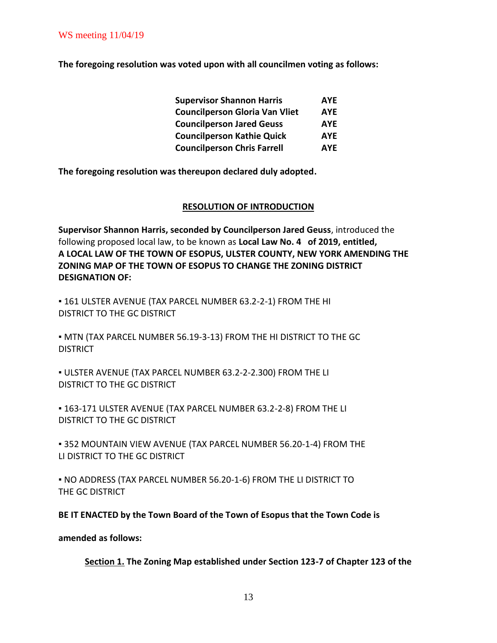**The foregoing resolution was voted upon with all councilmen voting as follows:**

| <b>Supervisor Shannon Harris</b>      | <b>AYE</b> |  |
|---------------------------------------|------------|--|
| <b>Councilperson Gloria Van Vliet</b> | <b>AYE</b> |  |
| <b>Councilperson Jared Geuss</b>      | <b>AYE</b> |  |
| <b>Councilperson Kathie Quick</b>     | <b>AYE</b> |  |
| <b>Councilperson Chris Farrell</b>    | <b>AYE</b> |  |

**The foregoing resolution was thereupon declared duly adopted.**

#### **RESOLUTION OF INTRODUCTION**

**Supervisor Shannon Harris, seconded by Councilperson Jared Geuss**, introduced the following proposed local law, to be known as **Local Law No. 4 of 2019, entitled, A LOCAL LAW OF THE TOWN OF ESOPUS, ULSTER COUNTY, NEW YORK AMENDING THE ZONING MAP OF THE TOWN OF ESOPUS TO CHANGE THE ZONING DISTRICT DESIGNATION OF:**

▪ 161 ULSTER AVENUE (TAX PARCEL NUMBER 63.2-2-1) FROM THE HI DISTRICT TO THE GC DISTRICT

▪ MTN (TAX PARCEL NUMBER 56.19-3-13) FROM THE HI DISTRICT TO THE GC **DISTRICT** 

▪ ULSTER AVENUE (TAX PARCEL NUMBER 63.2-2-2.300) FROM THE LI DISTRICT TO THE GC DISTRICT

▪ 163-171 ULSTER AVENUE (TAX PARCEL NUMBER 63.2-2-8) FROM THE LI DISTRICT TO THE GC DISTRICT

▪ 352 MOUNTAIN VIEW AVENUE (TAX PARCEL NUMBER 56.20-1-4) FROM THE LI DISTRICT TO THE GC DISTRICT

▪ NO ADDRESS (TAX PARCEL NUMBER 56.20-1-6) FROM THE LI DISTRICT TO THE GC DISTRICT

**BE IT ENACTED by the Town Board of the Town of Esopus that the Town Code is**

**amended as follows:**

**Section 1. The Zoning Map established under Section 123-7 of Chapter 123 of the**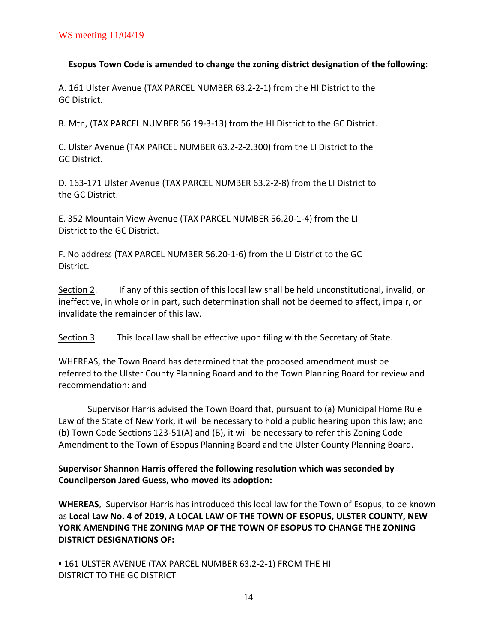## **Esopus Town Code is amended to change the zoning district designation of the following:**

A. 161 Ulster Avenue (TAX PARCEL NUMBER 63.2-2-1) from the HI District to the GC District.

B. Mtn, (TAX PARCEL NUMBER 56.19-3-13) from the HI District to the GC District.

C. Ulster Avenue (TAX PARCEL NUMBER 63.2-2-2.300) from the LI District to the GC District.

D. 163-171 Ulster Avenue (TAX PARCEL NUMBER 63.2-2-8) from the LI District to the GC District.

E. 352 Mountain View Avenue (TAX PARCEL NUMBER 56.20-1-4) from the LI District to the GC District.

F. No address (TAX PARCEL NUMBER 56.20-1-6) from the LI District to the GC District.

Section 2. If any of this section of this local law shall be held unconstitutional, invalid, or ineffective, in whole or in part, such determination shall not be deemed to affect, impair, or invalidate the remainder of this law.

Section 3. This local law shall be effective upon filing with the Secretary of State.

WHEREAS, the Town Board has determined that the proposed amendment must be referred to the Ulster County Planning Board and to the Town Planning Board for review and recommendation: and

Supervisor Harris advised the Town Board that, pursuant to (a) Municipal Home Rule Law of the State of New York, it will be necessary to hold a public hearing upon this law; and (b) Town Code Sections 123-51(A) and (B), it will be necessary to refer this Zoning Code Amendment to the Town of Esopus Planning Board and the Ulster County Planning Board.

**Supervisor Shannon Harris offered the following resolution which was seconded by Councilperson Jared Guess, who moved its adoption:**

**WHEREAS**, Supervisor Harris has introduced this local law for the Town of Esopus, to be known as **Local Law No. 4 of 2019, A LOCAL LAW OF THE TOWN OF ESOPUS, ULSTER COUNTY, NEW YORK AMENDING THE ZONING MAP OF THE TOWN OF ESOPUS TO CHANGE THE ZONING DISTRICT DESIGNATIONS OF:**

**. 161 ULSTER AVENUE (TAX PARCEL NUMBER 63.2-2-1) FROM THE HI** DISTRICT TO THE GC DISTRICT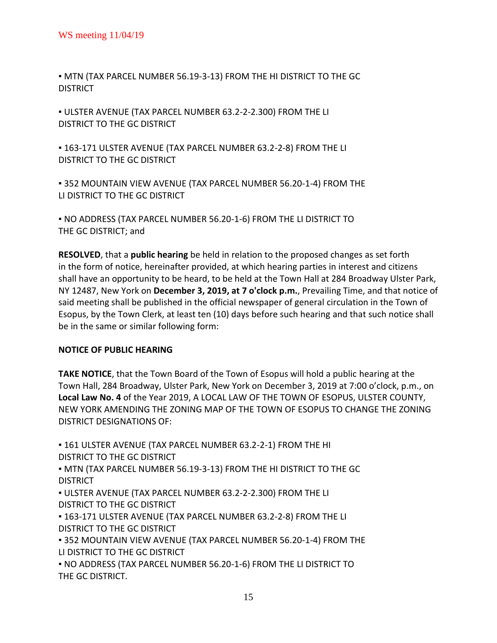▪ MTN (TAX PARCEL NUMBER 56.19-3-13) FROM THE HI DISTRICT TO THE GC **DISTRICT** 

▪ ULSTER AVENUE (TAX PARCEL NUMBER 63.2-2-2.300) FROM THE LI DISTRICT TO THE GC DISTRICT

▪ 163-171 ULSTER AVENUE (TAX PARCEL NUMBER 63.2-2-8) FROM THE LI DISTRICT TO THE GC DISTRICT

▪ 352 MOUNTAIN VIEW AVENUE (TAX PARCEL NUMBER 56.20-1-4) FROM THE LI DISTRICT TO THE GC DISTRICT

▪ NO ADDRESS (TAX PARCEL NUMBER 56.20-1-6) FROM THE LI DISTRICT TO THE GC DISTRICT; and

**RESOLVED**, that a **public hearing** be held in relation to the proposed changes as set forth in the form of notice, hereinafter provided, at which hearing parties in interest and citizens shall have an opportunity to be heard, to be held at the Town Hall at 284 Broadway Ulster Park, NY 12487, New York on **December 3, 2019, at 7 o'clock p.m.**, Prevailing Time, and that notice of said meeting shall be published in the official newspaper of general circulation in the Town of Esopus, by the Town Clerk, at least ten (10) days before such hearing and that such notice shall be in the same or similar following form:

## **NOTICE OF PUBLIC HEARING**

**TAKE NOTICE**, that the Town Board of the Town of Esopus will hold a public hearing at the Town Hall, 284 Broadway, Ulster Park, New York on December 3, 2019 at 7:00 o'clock, p.m., on **Local Law No. 4** of the Year 2019, A LOCAL LAW OF THE TOWN OF ESOPUS, ULSTER COUNTY, NEW YORK AMENDING THE ZONING MAP OF THE TOWN OF ESOPUS TO CHANGE THE ZONING DISTRICT DESIGNATIONS OF:

▪ 161 ULSTER AVENUE (TAX PARCEL NUMBER 63.2-2-1) FROM THE HI DISTRICT TO THE GC DISTRICT ▪ MTN (TAX PARCEL NUMBER 56.19-3-13) FROM THE HI DISTRICT TO THE GC **DISTRICT** ▪ ULSTER AVENUE (TAX PARCEL NUMBER 63.2-2-2.300) FROM THE LI DISTRICT TO THE GC DISTRICT ▪ 163-171 ULSTER AVENUE (TAX PARCEL NUMBER 63.2-2-8) FROM THE LI DISTRICT TO THE GC DISTRICT ▪ 352 MOUNTAIN VIEW AVENUE (TAX PARCEL NUMBER 56.20-1-4) FROM THE LI DISTRICT TO THE GC DISTRICT ▪ NO ADDRESS (TAX PARCEL NUMBER 56.20-1-6) FROM THE LI DISTRICT TO THE GC DISTRICT.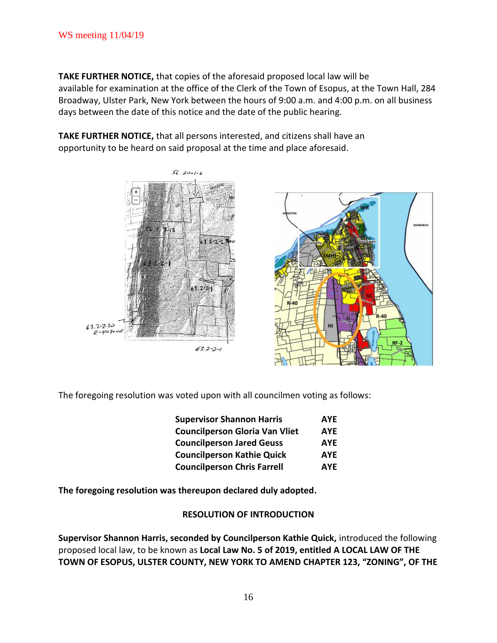**TAKE FURTHER NOTICE,** that copies of the aforesaid proposed local law will be available for examination at the office of the Clerk of the Town of Esopus, at the Town Hall, 284 Broadway, Ulster Park, New York between the hours of 9:00 a.m. and 4:00 p.m. on all business days between the date of this notice and the date of the public hearing.

**TAKE FURTHER NOTICE,** that all persons interested, and citizens shall have an opportunity to be heard on said proposal at the time and place aforesaid.



The foregoing resolution was voted upon with all councilmen voting as follows:

| <b>Supervisor Shannon Harris</b>      | <b>AYE</b> |  |
|---------------------------------------|------------|--|
| <b>Councilperson Gloria Van Vliet</b> | <b>AYE</b> |  |
| <b>Councilperson Jared Geuss</b>      | <b>AYE</b> |  |
| <b>Councilperson Kathie Quick</b>     | <b>AYE</b> |  |
| <b>Councilperson Chris Farrell</b>    | <b>AYE</b> |  |

**The foregoing resolution was thereupon declared duly adopted.**

### **RESOLUTION OF INTRODUCTION**

**Supervisor Shannon Harris, seconded by Councilperson Kathie Quick,** introduced the following proposed local law, to be known as **Local Law No. 5 of 2019, entitled A LOCAL LAW OF THE TOWN OF ESOPUS, ULSTER COUNTY, NEW YORK TO AMEND CHAPTER 123, "ZONING", OF THE**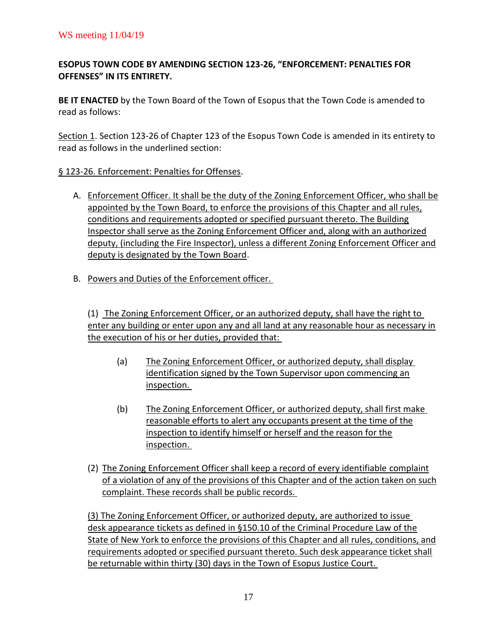# **ESOPUS TOWN CODE BY AMENDING SECTION 123-26, "ENFORCEMENT: PENALTIES FOR OFFENSES" IN ITS ENTIRETY.**

**BE IT ENACTED** by the Town Board of the Town of Esopus that the Town Code is amended to read as follows:

Section 1. Section 123-26 of Chapter 123 of the Esopus Town Code is amended in its entirety to read as follows in the underlined section:

# § 123-26. Enforcement: Penalties for Offenses.

- A. Enforcement Officer. It shall be the duty of the Zoning Enforcement Officer, who shall be appointed by the Town Board, to enforce the provisions of this Chapter and all rules, conditions and requirements adopted or specified pursuant thereto. The Building Inspector shall serve as the Zoning Enforcement Officer and, along with an authorized deputy, (including the Fire Inspector), unless a different Zoning Enforcement Officer and deputy is designated by the Town Board.
- B. Powers and Duties of the Enforcement officer.

(1) The Zoning Enforcement Officer, or an authorized deputy, shall have the right to enter any building or enter upon any and all land at any reasonable hour as necessary in the execution of his or her duties, provided that:

- (a) The Zoning Enforcement Officer, or authorized deputy, shall display identification signed by the Town Supervisor upon commencing an inspection.
- (b) The Zoning Enforcement Officer, or authorized deputy, shall first make reasonable efforts to alert any occupants present at the time of the inspection to identify himself or herself and the reason for the inspection.
- (2) The Zoning Enforcement Officer shall keep a record of every identifiable complaint of a violation of any of the provisions of this Chapter and of the action taken on such complaint. These records shall be public records.

(3) The Zoning Enforcement Officer, or authorized deputy, are authorized to issue desk appearance tickets as defined in §150.10 of the Criminal Procedure Law of the State of New York to enforce the provisions of this Chapter and all rules, conditions, and requirements adopted or specified pursuant thereto. Such desk appearance ticket shall be returnable within thirty (30) days in the Town of Esopus Justice Court.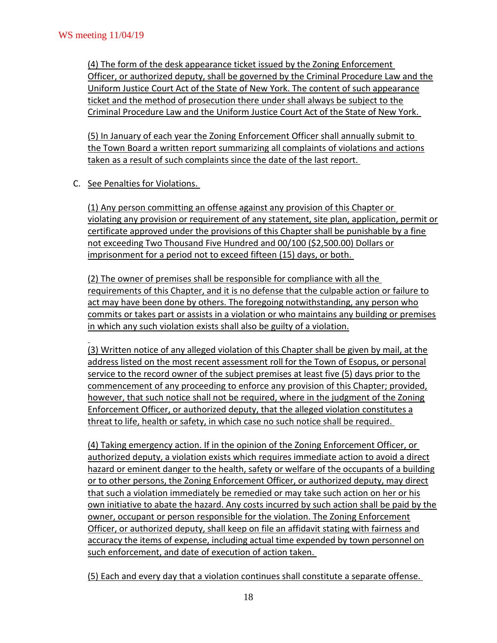(4) The form of the desk appearance ticket issued by the Zoning Enforcement Officer, or authorized deputy, shall be governed by the Criminal Procedure Law and the Uniform Justice Court Act of the State of New York. The content of such appearance ticket and the method of prosecution there under shall always be subject to the Criminal Procedure Law and the Uniform Justice Court Act of the State of New York.

(5) In January of each year the Zoning Enforcement Officer shall annually submit to the Town Board a written report summarizing all complaints of violations and actions taken as a result of such complaints since the date of the last report.

C. See Penalties for Violations.

(1) Any person committing an offense against any provision of this Chapter or violating any provision or requirement of any statement, site plan, application, permit or certificate approved under the provisions of this Chapter shall be punishable by a fine not exceeding Two Thousand Five Hundred and 00/100 (\$2,500.00) Dollars or imprisonment for a period not to exceed fifteen (15) days, or both.

(2) The owner of premises shall be responsible for compliance with all the requirements of this Chapter, and it is no defense that the culpable action or failure to act may have been done by others. The foregoing notwithstanding, any person who commits or takes part or assists in a violation or who maintains any building or premises in which any such violation exists shall also be guilty of a violation.

(3) Written notice of any alleged violation of this Chapter shall be given by mail, at the address listed on the most recent assessment roll for the Town of Esopus, or personal service to the record owner of the subject premises at least five (5) days prior to the commencement of any proceeding to enforce any provision of this Chapter; provided, however, that such notice shall not be required, where in the judgment of the Zoning Enforcement Officer, or authorized deputy, that the alleged violation constitutes a threat to life, health or safety, in which case no such notice shall be required.

(4) Taking emergency action. If in the opinion of the Zoning Enforcement Officer, or authorized deputy, a violation exists which requires immediate action to avoid a direct hazard or eminent danger to the health, safety or welfare of the occupants of a building or to other persons, the Zoning Enforcement Officer, or authorized deputy, may direct that such a violation immediately be remedied or may take such action on her or his own initiative to abate the hazard. Any costs incurred by such action shall be paid by the owner, occupant or person responsible for the violation. The Zoning Enforcement Officer, or authorized deputy, shall keep on file an affidavit stating with fairness and accuracy the items of expense, including actual time expended by town personnel on such enforcement, and date of execution of action taken.

(5) Each and every day that a violation continues shall constitute a separate offense.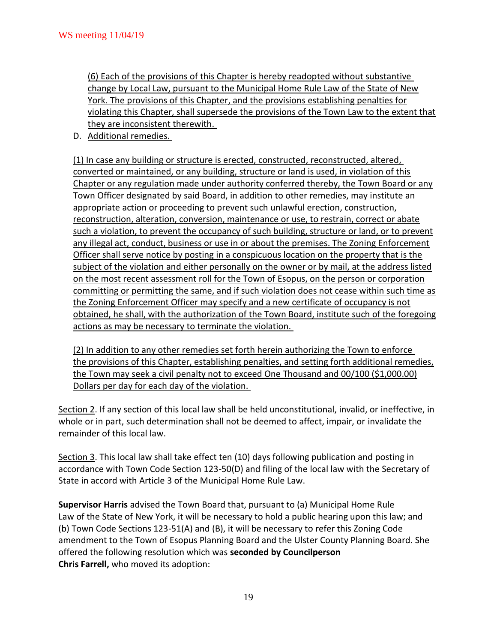(6) Each of the provisions of this Chapter is hereby readopted without substantive change by Local Law, pursuant to the Municipal Home Rule Law of the State of New York. The provisions of this Chapter, and the provisions establishing penalties for violating this Chapter, shall supersede the provisions of the Town Law to the extent that they are inconsistent therewith.

D. Additional remedies.

(1) In case any building or structure is erected, constructed, reconstructed, altered, converted or maintained, or any building, structure or land is used, in violation of this Chapter or any regulation made under authority conferred thereby, the Town Board or any Town Officer designated by said Board, in addition to other remedies, may institute an appropriate action or proceeding to prevent such unlawful erection, construction, reconstruction, alteration, conversion, maintenance or use, to restrain, correct or abate such a violation, to prevent the occupancy of such building, structure or land, or to prevent any illegal act, conduct, business or use in or about the premises. The Zoning Enforcement Officer shall serve notice by posting in a conspicuous location on the property that is the subject of the violation and either personally on the owner or by mail, at the address listed on the most recent assessment roll for the Town of Esopus, on the person or corporation committing or permitting the same, and if such violation does not cease within such time as the Zoning Enforcement Officer may specify and a new certificate of occupancy is not obtained, he shall, with the authorization of the Town Board, institute such of the foregoing actions as may be necessary to terminate the violation.

(2) In addition to any other remedies set forth herein authorizing the Town to enforce the provisions of this Chapter, establishing penalties, and setting forth additional remedies, the Town may seek a civil penalty not to exceed One Thousand and 00/100 (\$1,000.00) Dollars per day for each day of the violation.

Section 2. If any section of this local law shall be held unconstitutional, invalid, or ineffective, in whole or in part, such determination shall not be deemed to affect, impair, or invalidate the remainder of this local law.

Section 3. This local law shall take effect ten (10) days following publication and posting in accordance with Town Code Section 123-50(D) and filing of the local law with the Secretary of State in accord with Article 3 of the Municipal Home Rule Law.

**Supervisor Harris** advised the Town Board that, pursuant to (a) Municipal Home Rule Law of the State of New York, it will be necessary to hold a public hearing upon this law; and (b) Town Code Sections 123-51(A) and (B), it will be necessary to refer this Zoning Code amendment to the Town of Esopus Planning Board and the Ulster County Planning Board. She offered the following resolution which was **seconded by Councilperson Chris Farrell,** who moved its adoption: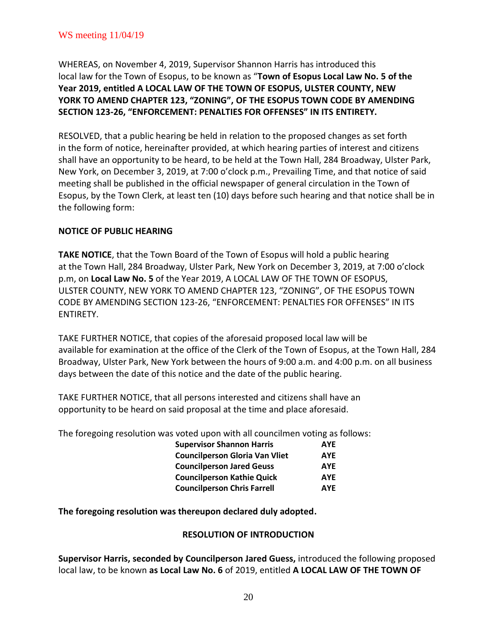WHEREAS, on November 4, 2019, Supervisor Shannon Harris has introduced this local law for the Town of Esopus, to be known as "**Town of Esopus Local Law No. 5 of the Year 2019, entitled A LOCAL LAW OF THE TOWN OF ESOPUS, ULSTER COUNTY, NEW YORK TO AMEND CHAPTER 123, "ZONING", OF THE ESOPUS TOWN CODE BY AMENDING SECTION 123-26, "ENFORCEMENT: PENALTIES FOR OFFENSES" IN ITS ENTIRETY.**

RESOLVED, that a public hearing be held in relation to the proposed changes as set forth in the form of notice, hereinafter provided, at which hearing parties of interest and citizens shall have an opportunity to be heard, to be held at the Town Hall, 284 Broadway, Ulster Park, New York, on December 3, 2019, at 7:00 o'clock p.m., Prevailing Time, and that notice of said meeting shall be published in the official newspaper of general circulation in the Town of Esopus, by the Town Clerk, at least ten (10) days before such hearing and that notice shall be in the following form:

## **NOTICE OF PUBLIC HEARING**

**TAKE NOTICE**, that the Town Board of the Town of Esopus will hold a public hearing at the Town Hall, 284 Broadway, Ulster Park, New York on December 3, 2019, at 7:00 o'clock p.m, on **Local Law No. 5** of the Year 2019, A LOCAL LAW OF THE TOWN OF ESOPUS, ULSTER COUNTY, NEW YORK TO AMEND CHAPTER 123, "ZONING", OF THE ESOPUS TOWN CODE BY AMENDING SECTION 123-26, "ENFORCEMENT: PENALTIES FOR OFFENSES" IN ITS ENTIRETY.

TAKE FURTHER NOTICE, that copies of the aforesaid proposed local law will be available for examination at the office of the Clerk of the Town of Esopus, at the Town Hall, 284 Broadway, Ulster Park, New York between the hours of 9:00 a.m. and 4:00 p.m. on all business days between the date of this notice and the date of the public hearing.

TAKE FURTHER NOTICE, that all persons interested and citizens shall have an opportunity to be heard on said proposal at the time and place aforesaid.

The foregoing resolution was voted upon with all councilmen voting as follows:

| <b>Supervisor Shannon Harris</b>      | <b>AYE</b> |  |
|---------------------------------------|------------|--|
| <b>Councilperson Gloria Van Vliet</b> | <b>AYE</b> |  |
| <b>Councilperson Jared Geuss</b>      | <b>AYE</b> |  |
| <b>Councilperson Kathie Quick</b>     | <b>AYE</b> |  |
| <b>Councilperson Chris Farrell</b>    | <b>AYE</b> |  |

**The foregoing resolution was thereupon declared duly adopted.**

### **RESOLUTION OF INTRODUCTION**

**Supervisor Harris, seconded by Councilperson Jared Guess,** introduced the following proposed local law, to be known **as Local Law No. 6** of 2019, entitled **A LOCAL LAW OF THE TOWN OF**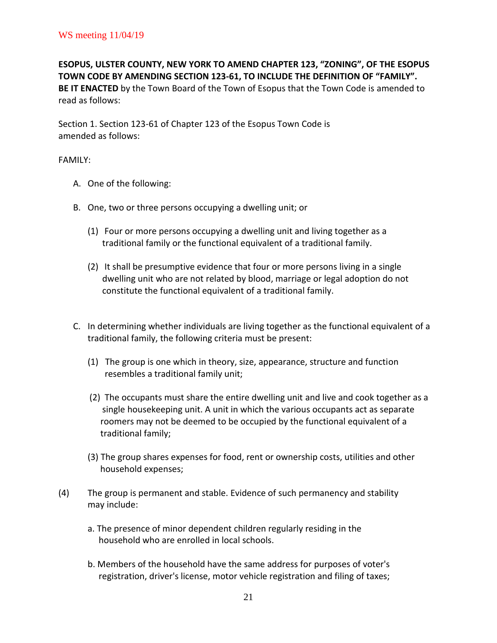**ESOPUS, ULSTER COUNTY, NEW YORK TO AMEND CHAPTER 123, "ZONING", OF THE ESOPUS TOWN CODE BY AMENDING SECTION 123-61, TO INCLUDE THE DEFINITION OF "FAMILY". BE IT ENACTED** by the Town Board of the Town of Esopus that the Town Code is amended to read as follows:

Section 1. Section 123-61 of Chapter 123 of the Esopus Town Code is amended as follows:

### FAMILY:

- A. One of the following:
- B. One, two or three persons occupying a dwelling unit; or
	- (1) Four or more persons occupying a dwelling unit and living together as a traditional family or the functional equivalent of a traditional family.
	- (2) It shall be presumptive evidence that four or more persons living in a single dwelling unit who are not related by blood, marriage or legal adoption do not constitute the functional equivalent of a traditional family.
- C. In determining whether individuals are living together as the functional equivalent of a traditional family, the following criteria must be present:
	- (1) The group is one which in theory, size, appearance, structure and function resembles a traditional family unit;
	- (2) The occupants must share the entire dwelling unit and live and cook together as a single housekeeping unit. A unit in which the various occupants act as separate roomers may not be deemed to be occupied by the functional equivalent of a traditional family;
	- (3) The group shares expenses for food, rent or ownership costs, utilities and other household expenses;
- (4) The group is permanent and stable. Evidence of such permanency and stability may include:
	- a. The presence of minor dependent children regularly residing in the household who are enrolled in local schools.
	- b. Members of the household have the same address for purposes of voter's registration, driver's license, motor vehicle registration and filing of taxes;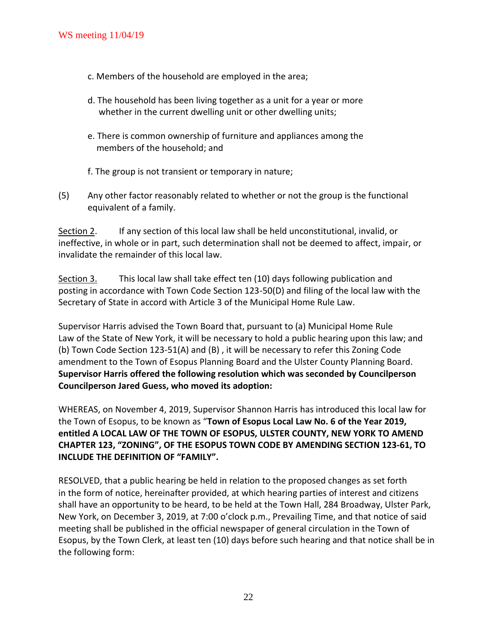- c. Members of the household are employed in the area;
- d. The household has been living together as a unit for a year or more whether in the current dwelling unit or other dwelling units;
- e. There is common ownership of furniture and appliances among the members of the household; and
- f. The group is not transient or temporary in nature;
- (5) Any other factor reasonably related to whether or not the group is the functional equivalent of a family.

Section 2. If any section of this local law shall be held unconstitutional, invalid, or ineffective, in whole or in part, such determination shall not be deemed to affect, impair, or invalidate the remainder of this local law.

Section 3. This local law shall take effect ten (10) days following publication and posting in accordance with Town Code Section 123-50(D) and filing of the local law with the Secretary of State in accord with Article 3 of the Municipal Home Rule Law.

Supervisor Harris advised the Town Board that, pursuant to (a) Municipal Home Rule Law of the State of New York, it will be necessary to hold a public hearing upon this law; and (b) Town Code Section 123-51(A) and (B) , it will be necessary to refer this Zoning Code amendment to the Town of Esopus Planning Board and the Ulster County Planning Board. **Supervisor Harris offered the following resolution which was seconded by Councilperson Councilperson Jared Guess, who moved its adoption:**

WHEREAS, on November 4, 2019, Supervisor Shannon Harris has introduced this local law for the Town of Esopus, to be known as "**Town of Esopus Local Law No. 6 of the Year 2019, entitled A LOCAL LAW OF THE TOWN OF ESOPUS, ULSTER COUNTY, NEW YORK TO AMEND CHAPTER 123, "ZONING", OF THE ESOPUS TOWN CODE BY AMENDING SECTION 123-61, TO INCLUDE THE DEFINITION OF "FAMILY".**

RESOLVED, that a public hearing be held in relation to the proposed changes as set forth in the form of notice, hereinafter provided, at which hearing parties of interest and citizens shall have an opportunity to be heard, to be held at the Town Hall, 284 Broadway, Ulster Park, New York, on December 3, 2019, at 7:00 o'clock p.m., Prevailing Time, and that notice of said meeting shall be published in the official newspaper of general circulation in the Town of Esopus, by the Town Clerk, at least ten (10) days before such hearing and that notice shall be in the following form: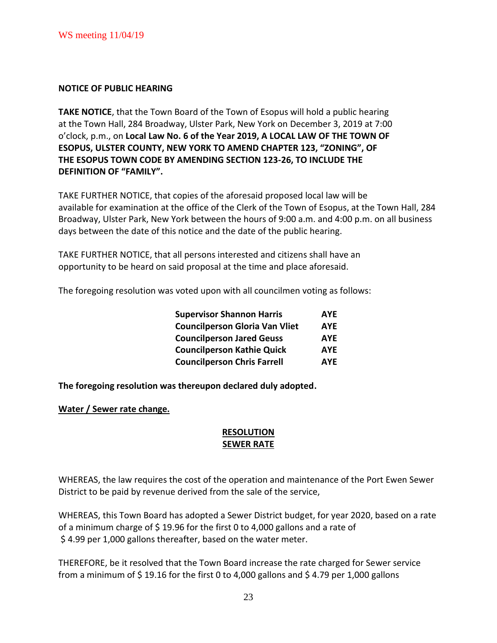#### **NOTICE OF PUBLIC HEARING**

**TAKE NOTICE**, that the Town Board of the Town of Esopus will hold a public hearing at the Town Hall, 284 Broadway, Ulster Park, New York on December 3, 2019 at 7:00 o'clock, p.m., on **Local Law No. 6 of the Year 2019, A LOCAL LAW OF THE TOWN OF ESOPUS, ULSTER COUNTY, NEW YORK TO AMEND CHAPTER 123, "ZONING", OF THE ESOPUS TOWN CODE BY AMENDING SECTION 123-26, TO INCLUDE THE DEFINITION OF "FAMILY".**

TAKE FURTHER NOTICE, that copies of the aforesaid proposed local law will be available for examination at the office of the Clerk of the Town of Esopus, at the Town Hall, 284 Broadway, Ulster Park, New York between the hours of 9:00 a.m. and 4:00 p.m. on all business days between the date of this notice and the date of the public hearing.

TAKE FURTHER NOTICE, that all persons interested and citizens shall have an opportunity to be heard on said proposal at the time and place aforesaid.

The foregoing resolution was voted upon with all councilmen voting as follows:

| <b>Supervisor Shannon Harris</b>      | <b>AYE</b> |  |
|---------------------------------------|------------|--|
| <b>Councilperson Gloria Van Vliet</b> | <b>AYE</b> |  |
| <b>Councilperson Jared Geuss</b>      | <b>AYE</b> |  |
| <b>Councilperson Kathie Quick</b>     | <b>AYE</b> |  |
| <b>Councilperson Chris Farrell</b>    | <b>AYE</b> |  |

**The foregoing resolution was thereupon declared duly adopted.**

### **Water / Sewer rate change.**

### **RESOLUTION SEWER RATE**

WHEREAS, the law requires the cost of the operation and maintenance of the Port Ewen Sewer District to be paid by revenue derived from the sale of the service,

WHEREAS, this Town Board has adopted a Sewer District budget, for year 2020, based on a rate of a minimum charge of \$ 19.96 for the first 0 to 4,000 gallons and a rate of \$ 4.99 per 1,000 gallons thereafter, based on the water meter.

THEREFORE, be it resolved that the Town Board increase the rate charged for Sewer service from a minimum of \$19.16 for the first 0 to 4,000 gallons and \$4.79 per 1,000 gallons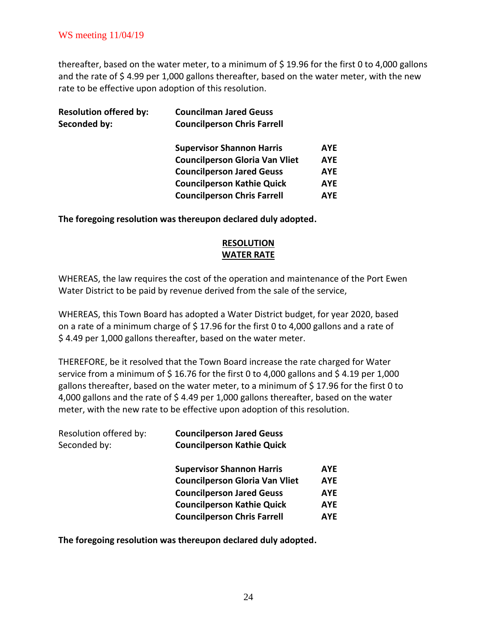thereafter, based on the water meter, to a minimum of \$ 19.96 for the first 0 to 4,000 gallons and the rate of \$4.99 per 1,000 gallons thereafter, based on the water meter, with the new rate to be effective upon adoption of this resolution.

| <b>Councilman Jared Geuss</b><br><b>Councilperson Chris Farrell</b> |            |
|---------------------------------------------------------------------|------------|
| <b>Supervisor Shannon Harris</b>                                    | <b>AYE</b> |
| <b>Councilperson Gloria Van Vliet</b>                               | <b>AYE</b> |
| <b>Councilperson Jared Geuss</b>                                    | <b>AYE</b> |
| <b>Councilperson Kathie Quick</b>                                   | <b>AYE</b> |
| <b>Councilperson Chris Farrell</b>                                  | <b>AYE</b> |
|                                                                     |            |

**The foregoing resolution was thereupon declared duly adopted.**

# **RESOLUTION WATER RATE**

WHEREAS, the law requires the cost of the operation and maintenance of the Port Ewen Water District to be paid by revenue derived from the sale of the service,

WHEREAS, this Town Board has adopted a Water District budget, for year 2020, based on a rate of a minimum charge of  $\frac{2}{3}$  17.96 for the first 0 to 4,000 gallons and a rate of \$ 4.49 per 1,000 gallons thereafter, based on the water meter.

THEREFORE, be it resolved that the Town Board increase the rate charged for Water service from a minimum of  $\frac{2}{3}$  16.76 for the first 0 to 4,000 gallons and  $\frac{2}{3}$  4.19 per 1,000 gallons thereafter, based on the water meter, to a minimum of \$ 17.96 for the first 0 to 4,000 gallons and the rate of \$ 4.49 per 1,000 gallons thereafter, based on the water meter, with the new rate to be effective upon adoption of this resolution.

| Resolution offered by:<br>Seconded by: | <b>Councilperson Jared Geuss</b><br><b>Councilperson Kathie Quick</b> |            |
|----------------------------------------|-----------------------------------------------------------------------|------------|
|                                        | <b>Supervisor Shannon Harris</b>                                      | <b>AYE</b> |
|                                        | <b>Councilperson Gloria Van Vliet</b>                                 | <b>AYE</b> |
|                                        | <b>Councilperson Jared Geuss</b>                                      | <b>AYE</b> |
|                                        | <b>Councilperson Kathie Quick</b>                                     | <b>AYE</b> |
|                                        | <b>Councilperson Chris Farrell</b>                                    | <b>AYE</b> |
|                                        |                                                                       |            |

**The foregoing resolution was thereupon declared duly adopted.**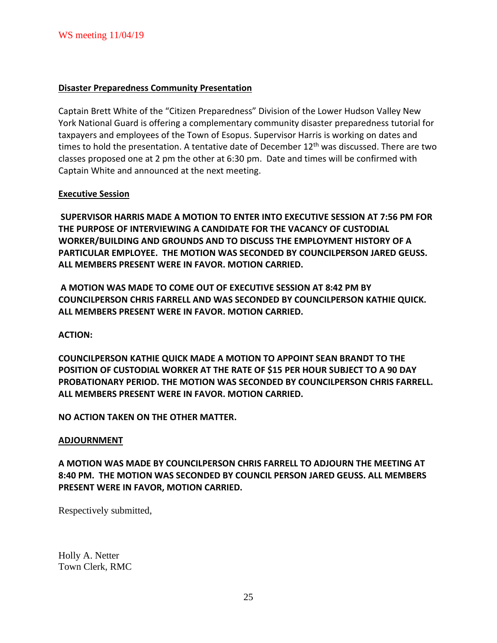### **Disaster Preparedness Community Presentation**

Captain Brett White of the "Citizen Preparedness" Division of the Lower Hudson Valley New York National Guard is offering a complementary community disaster preparedness tutorial for taxpayers and employees of the Town of Esopus. Supervisor Harris is working on dates and times to hold the presentation. A tentative date of December  $12<sup>th</sup>$  was discussed. There are two classes proposed one at 2 pm the other at 6:30 pm. Date and times will be confirmed with Captain White and announced at the next meeting.

### **Executive Session**

**SUPERVISOR HARRIS MADE A MOTION TO ENTER INTO EXECUTIVE SESSION AT 7:56 PM FOR THE PURPOSE OF INTERVIEWING A CANDIDATE FOR THE VACANCY OF CUSTODIAL WORKER/BUILDING AND GROUNDS AND TO DISCUSS THE EMPLOYMENT HISTORY OF A PARTICULAR EMPLOYEE. THE MOTION WAS SECONDED BY COUNCILPERSON JARED GEUSS. ALL MEMBERS PRESENT WERE IN FAVOR. MOTION CARRIED.** 

**A MOTION WAS MADE TO COME OUT OF EXECUTIVE SESSION AT 8:42 PM BY COUNCILPERSON CHRIS FARRELL AND WAS SECONDED BY COUNCILPERSON KATHIE QUICK. ALL MEMBERS PRESENT WERE IN FAVOR. MOTION CARRIED.** 

**ACTION:**

**COUNCILPERSON KATHIE QUICK MADE A MOTION TO APPOINT SEAN BRANDT TO THE POSITION OF CUSTODIAL WORKER AT THE RATE OF \$15 PER HOUR SUBJECT TO A 90 DAY PROBATIONARY PERIOD. THE MOTION WAS SECONDED BY COUNCILPERSON CHRIS FARRELL. ALL MEMBERS PRESENT WERE IN FAVOR. MOTION CARRIED.** 

**NO ACTION TAKEN ON THE OTHER MATTER.**

### **ADJOURNMENT**

**A MOTION WAS MADE BY COUNCILPERSON CHRIS FARRELL TO ADJOURN THE MEETING AT 8:40 PM. THE MOTION WAS SECONDED BY COUNCIL PERSON JARED GEUSS. ALL MEMBERS PRESENT WERE IN FAVOR, MOTION CARRIED.** 

Respectively submitted,

Holly A. Netter Town Clerk, RMC